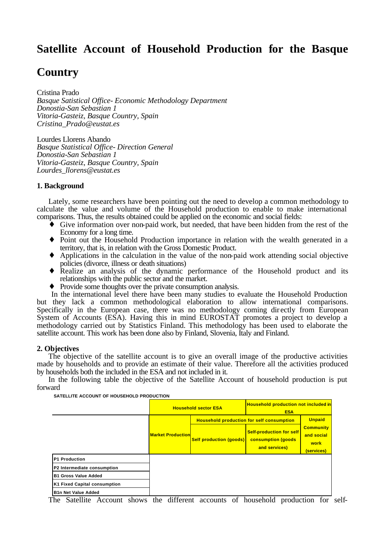# **Satellite Account of Household Production for the Basque**

# **Country**

Cristina Prado *Basque Satistical Office- Economic Methodology Department Donostia-San Sebastian 1 Vitoria-Gasteiz, Basque Country, Spain Cristina\_Prado@eustat.es*

Lourdes Llorens Abando *Basque Statistical Office- Direction General Donostia-San Sebastian 1 Vitoria-Gasteiz, Basque Country, Spain Lourdes\_llorens@eustat.es*

#### **1. Background**

Lately, some researchers have been pointing out the need to develop a common methodology to calculate the value and volume of the Household production to enable to make international comparisons. Thus, the results obtained could be applied on the economic and social fields:

- $\bullet$  Give information over non-paid work, but needed, that have been hidden from the rest of the Economy for a long time.
- ♦ Point out the Household Production importance in relation with the wealth generated in a territory, that is, in relation with the Gross Domestic Product.
- ♦ Applications in the calculation in the value of the non-paid work attending social objective policies (divorce, illness or death situations)
- ♦ Realize an analysis of the dynamic performance of the Household product and its relationships with the public sector and the market.
- ♦ Provide some thoughts over the private consumption analysis.

 In the international level there have been many studies to evaluate the Household Production but they lack a common methodological elaboration to allow international comparisons. Specifically in the European case, there was no methodology coming dir ectly from European System of Accounts (ESA). Having this in mind EUROSTAT promotes a project to develop a methodology carried out by Statistics Finland. This methodology has been used to elaborate the satellite account. This work has been done also by Finland, Slovenia, Italy and Finland.

### **2. Objectives**

The objective of the satellite account is to give an overall image of the productive activities made by households and to provide an estimate of their value. Therefore all the activities produced by households both the included in the ESA and not included in it.

In the following table the objective of the Satellite Account of household production is put forward

**SATELLITE ACCOUNT OF HOUSEHOLD PRODUCTION**

|                              | <b>Household sector ESA</b> |                                                  | <b>Household production not included in</b><br><b>ESA</b>                     |                                                      |
|------------------------------|-----------------------------|--------------------------------------------------|-------------------------------------------------------------------------------|------------------------------------------------------|
|                              | <b>Market Production</b>    | <b>Household production for self consumption</b> |                                                                               | <b>Unpaid</b>                                        |
|                              |                             | <b>Self production (goods)</b>                   | <b>Self-production for self</b><br><b>consumption (goods</b><br>and services) | <b>Community</b><br>and social<br>work<br>(services) |
| <b>P1 Production</b>         |                             |                                                  |                                                                               |                                                      |
| P2 Intermediate consumption  |                             |                                                  |                                                                               |                                                      |
| <b>B1 Gross Value Added</b>  |                             |                                                  |                                                                               |                                                      |
| K1 Fixed Capital consumption |                             |                                                  |                                                                               |                                                      |
| <b>B1n Net Value Added</b>   |                             |                                                  |                                                                               |                                                      |

The Satellite Account shows the different accounts of household production for self-